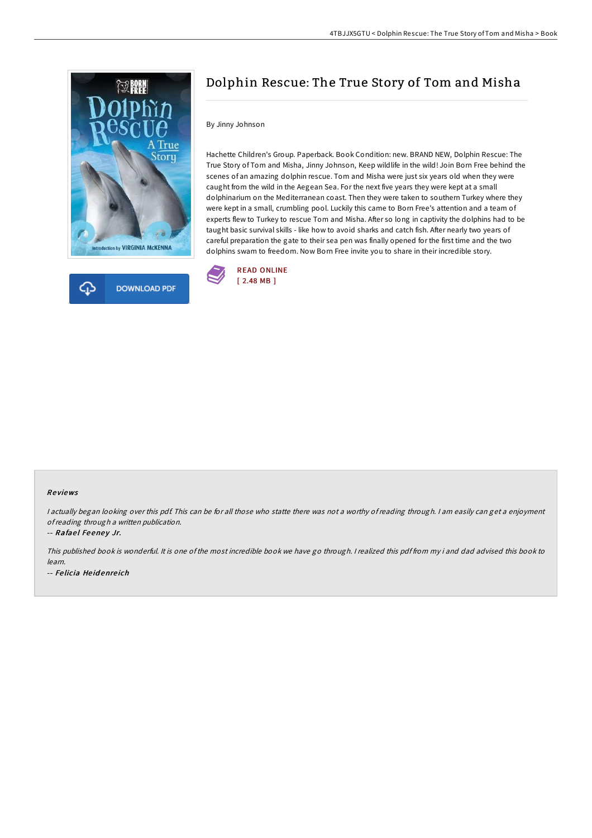



# Dolphin Rescue: The True Story of Tom and Misha

## By Jinny Johnson

Hachette Children's Group. Paperback. Book Condition: new. BRAND NEW, Dolphin Rescue: The True Story of Tom and Misha, Jinny Johnson, Keep wildlife in the wild! Join Born Free behind the scenes of an amazing dolphin rescue. Tom and Misha were just six years old when they were caught from the wild in the Aegean Sea. For the next five years they were kept at a small dolphinarium on the Mediterranean coast. Then they were taken to southern Turkey where they were kept in a small, crumbling pool. Luckily this came to Born Free's attention and a team of experts flew to Turkey to rescue Tom and Misha. After so long in captivity the dolphins had to be taught basic survival skills - like how to avoid sharks and catch fish. After nearly two years of careful preparation the gate to their sea pen was finally opened for the first time and the two dolphins swam to freedom. Now Born Free invite you to share in their incredible story.



#### Re views

<sup>I</sup> actually began looking over this pdf. This can be for all those who statte there was not <sup>a</sup> worthy of reading through. <sup>I</sup> am easily can get <sup>a</sup> enjoyment ofreading through <sup>a</sup> written publication.

-- Rafael Feeney Jr.

This published book is wonderful. It is one of the most incredible book we have go through. <sup>I</sup> realized this pdf from my i and dad advised this book to learn. -- Fe licia He id enre ich